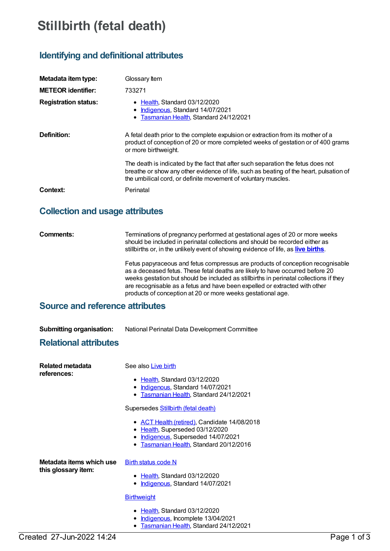# **Stillbirth (fetal death)**

# **Identifying and definitional attributes**

| Metadata item type:         | Glossary Item                                                                                                                                                                                                                                |  |
|-----------------------------|----------------------------------------------------------------------------------------------------------------------------------------------------------------------------------------------------------------------------------------------|--|
| <b>METEOR identifier:</b>   | 733271                                                                                                                                                                                                                                       |  |
| <b>Registration status:</b> | • Health, Standard 03/12/2020<br>• Indigenous, Standard 14/07/2021<br>• Tasmanian Health, Standard 24/12/2021                                                                                                                                |  |
| Definition:                 | A fetal death prior to the complete expulsion or extraction from its mother of a<br>product of conception of 20 or more completed weeks of gestation or of 400 grams<br>or more birthweight.                                                 |  |
|                             | The death is indicated by the fact that after such separation the fetus does not<br>breathe or show any other evidence of life, such as beating of the heart, pulsation of<br>the umbilical cord, or definite movement of voluntary muscles. |  |
| Context:                    | Perinatal                                                                                                                                                                                                                                    |  |

# **Collection and usage attributes**

**Comments:** Terminations of pregnancy performed at gestational ages of 20 or more weeks should be included in perinatal collections and should be recorded either as stillbirths or, in the unlikely event of showing evidence of life, as **live [births](https://meteor.aihw.gov.au/content/733187)**.

> Fetus papyraceous and fetus compressus are products of conception recognisable as a deceased fetus. These fetal deaths are likely to have occurred before 20 weeks gestation but should be included as stillbirths in perinatal collections if they are recognisable as a fetus and have been expelled or extracted with other products of conception at 20 or more weeks gestational age.

# **Source and reference attributes**

**Submitting organisation:** National Perinatal Data Development Committee

## **Relational attributes**

| Related metadata         | See also Live birth                                                                                                                                               |
|--------------------------|-------------------------------------------------------------------------------------------------------------------------------------------------------------------|
| references:              | • Health, Standard 03/12/2020<br>• Indigenous, Standard 14/07/2021<br>• Tasmanian Health, Standard 24/12/2021                                                     |
|                          | Supersedes <b>Stillbirth (fetal death)</b>                                                                                                                        |
|                          | • ACT Health (retired), Candidate 14/08/2018<br>• Health, Superseded 03/12/2020<br>• Indigenous, Superseded 14/07/2021<br>• Tasmanian Health, Standard 20/12/2016 |
| Metadata items which use | <b>Birth status code N</b>                                                                                                                                        |
| this glossary item:      | • Health, Standard 03/12/2020<br>Indigenous, Standard 14/07/2021                                                                                                  |
|                          | <b>Birthweight</b>                                                                                                                                                |
|                          | • Health, Standard 03/12/2020<br>Indigenous, Incomplete 13/04/2021<br>• Tasmanian Health, Standard 24/12/2021                                                     |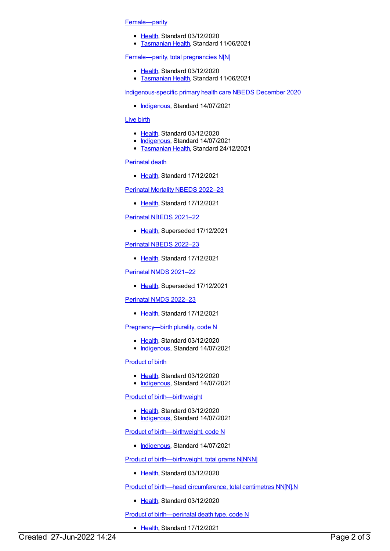#### [Female—parity](https://meteor.aihw.gov.au/content/733284)

- [Health](https://meteor.aihw.gov.au/RegistrationAuthority/12), Standard 03/12/2020
- **[Tasmanian](https://meteor.aihw.gov.au/RegistrationAuthority/15) Health, Standard 11/06/2021**

#### [Female—parity,](https://meteor.aihw.gov.au/content/733287) total pregnancies N[N]

- [Health](https://meteor.aihw.gov.au/RegistrationAuthority/12), Standard 03/12/2020
- [Tasmanian](https://meteor.aihw.gov.au/RegistrationAuthority/15) Health, Standard 11/06/2021

[Indigenous-specific](https://meteor.aihw.gov.au/content/738532) primary health care NBEDS December 2020

• [Indigenous](https://meteor.aihw.gov.au/RegistrationAuthority/6), Standard 14/07/2021

#### [Live](https://meteor.aihw.gov.au/content/733187) birth

- [Health](https://meteor.aihw.gov.au/RegistrationAuthority/12), Standard 03/12/2020
- [Indigenous](https://meteor.aihw.gov.au/RegistrationAuthority/6), Standard 14/07/2021
- [Tasmanian](https://meteor.aihw.gov.au/RegistrationAuthority/15) Health, Standard 24/12/2021

#### [Perinatal](https://meteor.aihw.gov.au/content/750440) death

• [Health](https://meteor.aihw.gov.au/RegistrationAuthority/12), Standard 17/12/2021

#### [Perinatal](https://meteor.aihw.gov.au/content/750304) Mortality NBEDS 2022–23

• [Health](https://meteor.aihw.gov.au/RegistrationAuthority/12), Standard 17/12/2021

#### [Perinatal](https://meteor.aihw.gov.au/content/727295) NBEDS 2021–22

• [Health](https://meteor.aihw.gov.au/RegistrationAuthority/12), Superseded 17/12/2021

#### [Perinatal](https://meteor.aihw.gov.au/content/742055) NBEDS 2022–23

• [Health](https://meteor.aihw.gov.au/RegistrationAuthority/12), Standard 17/12/2021

#### [Perinatal](https://meteor.aihw.gov.au/content/727291) NMDS 2021–22

• [Health](https://meteor.aihw.gov.au/RegistrationAuthority/12), Superseded 17/12/2021

#### [Perinatal](https://meteor.aihw.gov.au/content/742052) NMDS 2022–23

• [Health](https://meteor.aihw.gov.au/RegistrationAuthority/12), Standard 17/12/2021

### [Pregnancy—birth](https://meteor.aihw.gov.au/content/732874) plurality, code N

- [Health](https://meteor.aihw.gov.au/RegistrationAuthority/12), Standard 03/12/2020
- [Indigenous](https://meteor.aihw.gov.au/RegistrationAuthority/6), Standard 14/07/2021

#### [Product](https://meteor.aihw.gov.au/content/733312) of birth

- [Health](https://meteor.aihw.gov.au/RegistrationAuthority/12), Standard 03/12/2020
- [Indigenous](https://meteor.aihw.gov.au/RegistrationAuthority/6), Standard 14/07/2021

#### Product of [birth—birthweight](https://meteor.aihw.gov.au/content/733408)

- [Health](https://meteor.aihw.gov.au/RegistrationAuthority/12), Standard 03/12/2020
- [Indigenous](https://meteor.aihw.gov.au/RegistrationAuthority/6), Standard 14/07/2021

#### Product of [birth—birthweight,](https://meteor.aihw.gov.au/content/742849) code N

• [Indigenous](https://meteor.aihw.gov.au/RegistrationAuthority/6), Standard 14/07/2021

#### Product of [birth—birthweight,](https://meteor.aihw.gov.au/content/733280) total grams N[NNN]

• [Health](https://meteor.aihw.gov.au/RegistrationAuthority/12), Standard 03/12/2020

#### Product of birth—head [circumference,](https://meteor.aihw.gov.au/content/733429) total centimetres NN[N].N

• [Health](https://meteor.aihw.gov.au/RegistrationAuthority/12), Standard 03/12/2020

#### Product of [birth—perinatal](https://meteor.aihw.gov.au/content/716377) death type, code N

• [Health](https://meteor.aihw.gov.au/RegistrationAuthority/12), Standard 17/12/2021